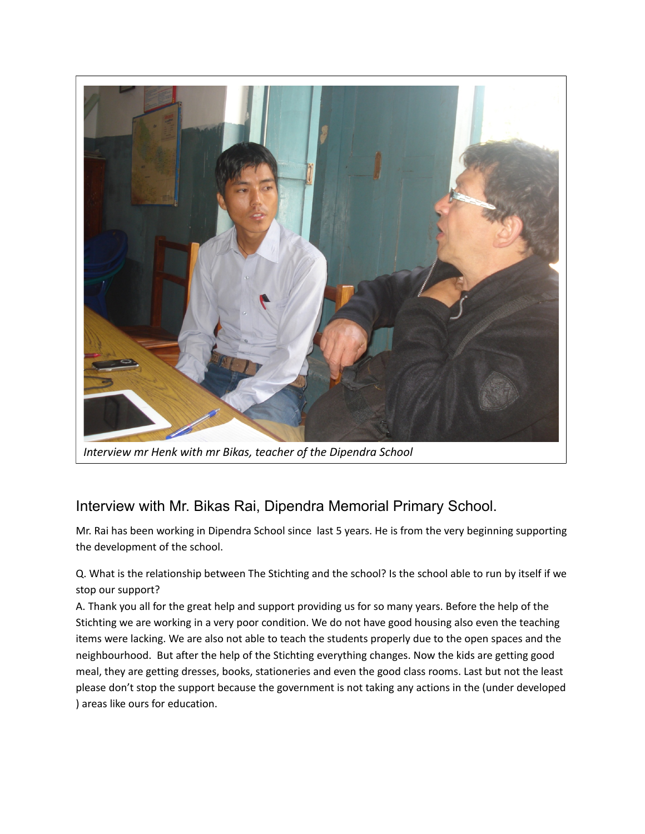

*Interview mr Henk with mr Bikas, teacher of the Dipendra School*

## Interview with Mr. Bikas Rai, Dipendra Memorial Primary School.

Mr. Rai has been working in Dipendra School since last 5 years. He is from the very beginning supporting the development of the school.

Q. What is the relationship between The Stichting and the school? Is the school able to run by itself if we stop our support?

A. Thank you all for the great help and support providing us for so many years. Before the help of the Stichting we are working in a very poor condition. We do not have good housing also even the teaching items were lacking. We are also not able to teach the students properly due to the open spaces and the neighbourhood. But after the help of the Stichting everything changes. Now the kids are getting good meal, they are getting dresses, books, stationeries and even the good class rooms. Last but not the least please don't stop the support because the government is not taking any actions in the (under developed ) areas like ours for education.